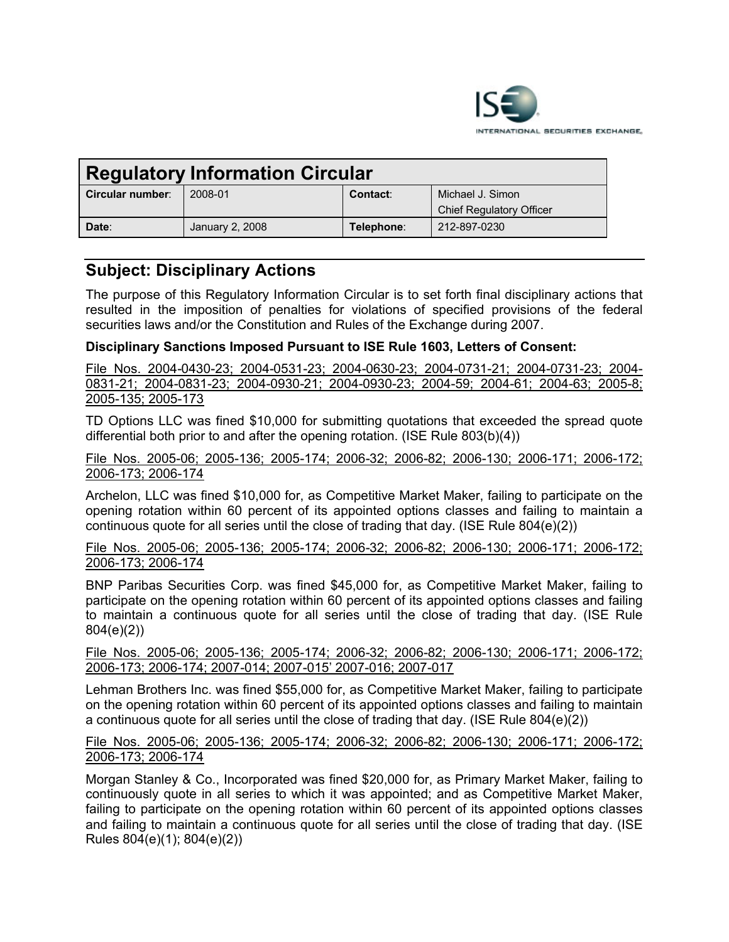

| <b>Regulatory Information Circular</b> |                 |            |                                 |
|----------------------------------------|-----------------|------------|---------------------------------|
| Circular number:                       | 2008-01         | Contact:   | Michael J. Simon                |
|                                        |                 |            | <b>Chief Regulatory Officer</b> |
| Date:                                  | January 2, 2008 | Telephone: | 212-897-0230                    |

# **Subject: Disciplinary Actions**

The purpose of this Regulatory Information Circular is to set forth final disciplinary actions that resulted in the imposition of penalties for violations of specified provisions of the federal securities laws and/or the Constitution and Rules of the Exchange during 2007.

# **Disciplinary Sanctions Imposed Pursuant to ISE Rule 1603, Letters of Consent:**

File Nos. 2004-0430-23; 2004-0531-23; 2004-0630-23; 2004-0731-21; 2004-0731-23; 2004- 0831-21; 2004-0831-23; 2004-0930-21; 2004-0930-23; 2004-59; 2004-61; 2004-63; 2005-8; 2005-135; 2005-173

TD Options LLC was fined \$10,000 for submitting quotations that exceeded the spread quote differential both prior to and after the opening rotation. (ISE Rule 803(b)(4))

File Nos. 2005-06; 2005-136; 2005-174; 2006-32; 2006-82; 2006-130; 2006-171; 2006-172; 2006-173; 2006-174

Archelon, LLC was fined \$10,000 for, as Competitive Market Maker, failing to participate on the opening rotation within 60 percent of its appointed options classes and failing to maintain a continuous quote for all series until the close of trading that day. (ISE Rule 804(e)(2))

File Nos. 2005-06; 2005-136; 2005-174; 2006-32; 2006-82; 2006-130; 2006-171; 2006-172; 2006-173; 2006-174

BNP Paribas Securities Corp. was fined \$45,000 for, as Competitive Market Maker, failing to participate on the opening rotation within 60 percent of its appointed options classes and failing to maintain a continuous quote for all series until the close of trading that day. (ISE Rule 804(e)(2))

File Nos. 2005-06; 2005-136; 2005-174; 2006-32; 2006-82; 2006-130; 2006-171; 2006-172; 2006-173; 2006-174; 2007-014; 2007-015' 2007-016; 2007-017

Lehman Brothers Inc. was fined \$55,000 for, as Competitive Market Maker, failing to participate on the opening rotation within 60 percent of its appointed options classes and failing to maintain a continuous quote for all series until the close of trading that day. (ISE Rule 804(e)(2))

## File Nos. 2005-06; 2005-136; 2005-174; 2006-32; 2006-82; 2006-130; 2006-171; 2006-172; 2006-173; 2006-174

Morgan Stanley & Co., Incorporated was fined \$20,000 for, as Primary Market Maker, failing to continuously quote in all series to which it was appointed; and as Competitive Market Maker, failing to participate on the opening rotation within 60 percent of its appointed options classes and failing to maintain a continuous quote for all series until the close of trading that day. (ISE Rules 804(e)(1); 804(e)(2))